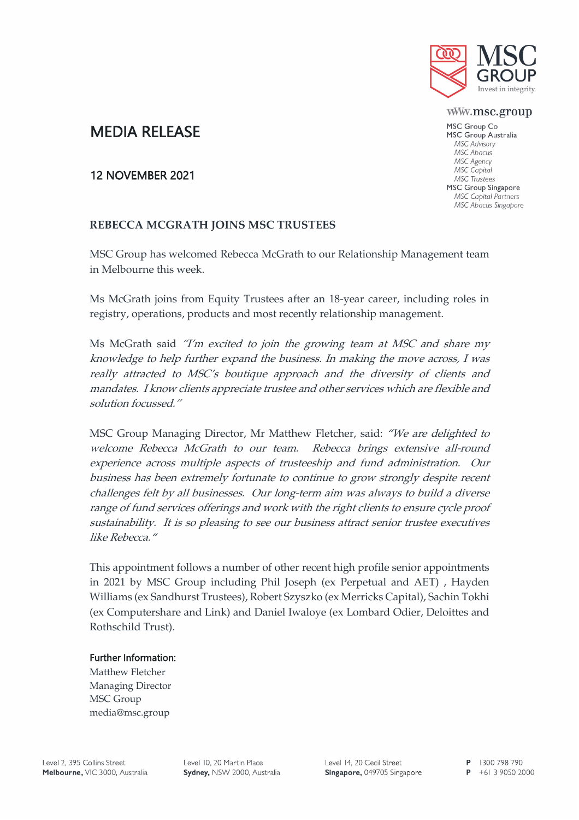

www.msc.group

MSC Group Co MSC Group Australia MSC Advisory MSC Abacus MSC Agency MSC Capital **MSC** Trustees MSC Group Singapore **MSC Capital Partners** MSC Abacus Singapore

# MEDIA RELEASE

## 12 NOVEMBER 2021

## **REBECCA MCGRATH JOINS MSC TRUSTEES**

MSC Group has welcomed Rebecca McGrath to our Relationship Management team in Melbourne this week.

Ms McGrath joins from Equity Trustees after an 18-year career, including roles in registry, operations, products and most recently relationship management.

Ms McGrath said "I'm excited to join the growing team at MSC and share my knowledge to help further expand the business. In making the move across, I was really attracted to MSC's boutique approach and the diversity of clients and mandates. I know clients appreciate trustee and other services which are flexible and solution focussed."

MSC Group Managing Director, Mr Matthew Fletcher, said: "We are delighted to welcome Rebecca McGrath to our team. Rebecca brings extensive all-round experience across multiple aspects of trusteeship and fund administration. Our business has been extremely fortunate to continue to grow strongly despite recent challenges felt by all businesses. Our long-term aim was always to build a diverse range of fund services offerings and work with the right clients to ensure cycle proof sustainability. It is so pleasing to see our business attract senior trustee executives like Rebecca."

This appointment follows a number of other recent high profile senior appointments in 2021 by MSC Group including Phil Joseph (ex Perpetual and AET) , Hayden Williams (ex Sandhurst Trustees), Robert Szyszko (ex Merricks Capital), Sachin Tokhi (ex Computershare and Link) and Daniel Iwaloye (ex Lombard Odier, Deloittes and Rothschild Trust).

#### Further Information:

Matthew Fletcher Managing Director MSC Group media@msc.group